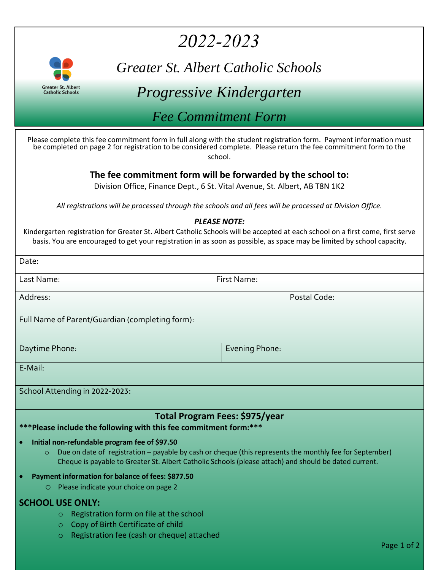# *2022-2023*



*Greater St. Albert Catholic Schools* 

## *Progressive Kindergarten*

*Fee Commitment Form* 

Please complete this fee commitment form in full along with the student registration form. Payment information must be completed on page 2 for registration to be considered complete. Please return the fee commitment form to the school.

### **The fee commitment form will be forwarded by the school to:**

Division Office, Finance Dept., 6 St. Vital Avenue, St. Albert, AB T8N 1K2

*All registrations will be processed through the schools and all fees will be processed at Division Office.*

#### *PLEASE NOTE:*

Kindergarten registration for Greater St. Albert Catholic Schools will be accepted at each school on a first come, first serve basis. You are encouraged to get your registration in as soon as possible, as space may be limited by school capacity.

| Date:                                                                                                                                                                                                                                                                        |                |
|------------------------------------------------------------------------------------------------------------------------------------------------------------------------------------------------------------------------------------------------------------------------------|----------------|
| First Name:<br>Last Name:                                                                                                                                                                                                                                                    |                |
| Address:                                                                                                                                                                                                                                                                     | Postal Code:   |
| Full Name of Parent/Guardian (completing form):                                                                                                                                                                                                                              |                |
|                                                                                                                                                                                                                                                                              |                |
| Daytime Phone:                                                                                                                                                                                                                                                               | Evening Phone: |
| E-Mail:                                                                                                                                                                                                                                                                      |                |
| School Attending in 2022-2023:                                                                                                                                                                                                                                               |                |
|                                                                                                                                                                                                                                                                              |                |
| Total Program Fees: \$975/year<br>*** Please include the following with this fee commitment form:***                                                                                                                                                                         |                |
| Initial non-refundable program fee of \$97.50<br>Due on date of registration - payable by cash or cheque (this represents the monthly fee for September)<br>$\circ$<br>Cheque is payable to Greater St. Albert Catholic Schools (please attach) and should be dated current. |                |
| Payment information for balance of fees: \$877.50                                                                                                                                                                                                                            |                |
| Please indicate your choice on page 2<br>$\circ$                                                                                                                                                                                                                             |                |
| <b>SCHOOL USE ONLY:</b>                                                                                                                                                                                                                                                      |                |
| Registration form on file at the school<br>$\circ$                                                                                                                                                                                                                           |                |
| Copy of Birth Certificate of child<br>$\circ$                                                                                                                                                                                                                                |                |
| Registration fee (cash or cheque) attached<br>$\circ$                                                                                                                                                                                                                        | Page 1 of 2    |
|                                                                                                                                                                                                                                                                              |                |